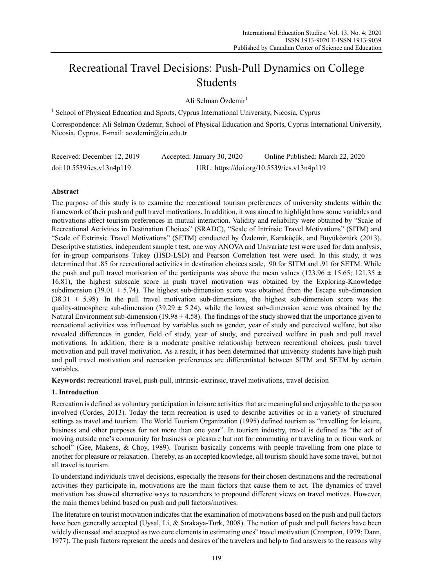# Recreational Travel Decisions: Push-Pull Dynamics on College Students

Ali Selman Özdemir<sup>1</sup>

<sup>1</sup> School of Physical Education and Sports, Cyprus International University, Nicosia, Cyprus

Correspondence: Ali Selman Özdemir, School of Physical Education and Sports, Cyprus International University, Nicosia, Cyprus. E-mail: aozdemir@ciu.edu.tr

| Received: December 12, 2019 | Accepted: January 30, 2020 | Online Published: March 22, 2020           |
|-----------------------------|----------------------------|--------------------------------------------|
| doi:10.5539/ies.v13n4p119   |                            | URL: https://doi.org/10.5539/ies.v13n4p119 |

# **Abstract**

The purpose of this study is to examine the recreational tourism preferences of university students within the framework of their push and pull travel motivations. In addition, it was aimed to highlight how some variables and motivations affect tourism preferences in mutual interaction. Validity and reliability were obtained by "Scale of Recreational Activities in Destination Choices" (SRADC), "Scale of Intrinsic Travel Motivations" (SITM) and "Scale of Extrinsic Travel Motivations" (SETM) conducted by Özdemir, Karaküçük, and Büyüköztürk (2013). Descriptive statistics, independent sample t test, one way ANOVA and Univariate test were used for data analysis, for in-group comparisons Tukey (HSD-LSD) and Pearson Correlation test were used. In this study, it was determined that .85 for recreational activities in destination choices scale, .90 for SITM and .91 for SETM. While the push and pull travel motivation of the participants was above the mean values (123.96  $\pm$  15.65; 121.35  $\pm$ 16.81), the highest subscale score in push travel motivation was obtained by the Exploring-Knowledge subdimension (39.01  $\pm$  5.74). The highest sub-dimension score was obtained from the Escape sub-dimension  $(38.31 \pm 5.98)$ . In the pull travel motivation sub-dimensions, the highest sub-dimension score was the quality-atmosphere sub-dimension (39.29  $\pm$  5.24), while the lowest sub-dimension score was obtained by the Natural Environment sub-dimension (19.98  $\pm$  4.58). The findings of the study showed that the importance given to recreational activities was influenced by variables such as gender, year of study and perceived welfare, but also revealed differences in gender, field of study, year of study, and perceived welfare in push and pull travel motivations. In addition, there is a moderate positive relationship between recreational choices, push travel motivation and pull travel motivation. As a result, it has been determined that university students have high push and pull travel motivation and recreation preferences are differentiated between SITM and SETM by certain variables.

**Keywords:** recreational travel, push-pull, intrinsic-extrinsic, travel motivations, travel decision

### **1. Introduction**

Recreation is defined as voluntary participation in leisure activities that are meaningful and enjoyable to the person involved (Cordes, 2013). Today the term recreation is used to describe activities or in a variety of structured settings as travel and tourism. The World Tourism Organization (1995) defined tourism as "travelling for leisure, business and other purposes for not more than one year". In tourism industry, travel is defined as "the act of moving outside one's community for business or pleasure but not for commuting or traveling to or from work or school" (Gee, Makens, & Choy, 1989). Tourism basically concerns with people travelling from one place to another for pleasure or relaxation. Thereby, as an accepted knowledge, all tourism should have some travel, but not all travel is tourism.

To understand individuals travel decisions, especially the reasons for their chosen destinations and the recreational activities they participate in, motivations are the main factors that cause them to act. The dynamics of travel motivation has showed alternative ways to researchers to propound different views on travel motives. However, the main themes behind based on push and pull factors/motives.

The literature on tourist motivation indicates that the examination of motivations based on the push and pull factors have been generally accepted (Uysal, Li, & Sırakaya-Turk, 2008). The notion of push and pull factors have been widely discussed and accepted as two core elements in estimating ones" travel motivation (Crompton, 1979; Dann, 1977). The push factors represent the needs and desires of the travelers and help to find answers to the reasons why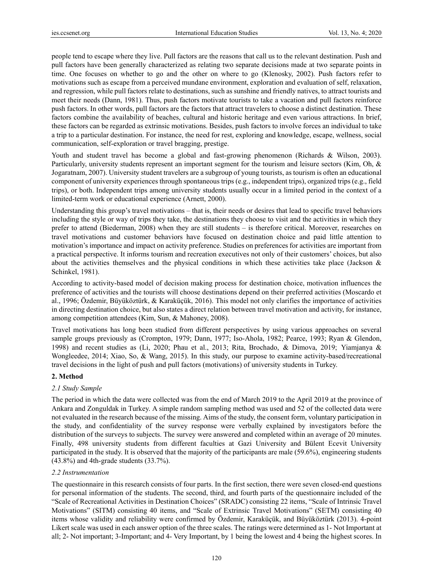people tend to escape where they live. Pull factors are the reasons that call us to the relevant destination. Push and pull factors have been generally characterized as relating two separate decisions made at two separate points in time. One focuses on whether to go and the other on where to go (Klenosky, 2002). Push factors refer to motivations such as escape from a perceived mundane environment, exploration and evaluation of self, relaxation, and regression, while pull factors relate to destinations, such as sunshine and friendly natives, to attract tourists and meet their needs (Dann, 1981). Thus, push factors motivate tourists to take a vacation and pull factors reinforce push factors. In other words, pull factors are the factors that attract travelers to choose a distinct destination. These factors combine the availability of beaches, cultural and historic heritage and even various attractions. In brief, these factors can be regarded as extrinsic motivations. Besides, push factors to involve forces an individual to take a trip to a particular destination. For instance, the need for rest, exploring and knowledge, escape, wellness, social communication, self-exploration or travel bragging, prestige.

Youth and student travel has become a global and fast-growing phenomenon (Richards & Wilson, 2003). Particularly, university students represent an important segment for the tourism and leisure sectors (Kim, Oh, & Jogaratnam, 2007). University student travelers are a subgroup of young tourists, as tourism is often an educational component of university experiences through spontaneous trips (e.g., independent trips), organized trips (e.g., field trips), or both. Independent trips among university students usually occur in a limited period in the context of a limited-term work or educational experience (Arnett, 2000).

Understanding this group's travel motivations – that is, their needs or desires that lead to specific travel behaviors including the style or way of trips they take, the destinations they choose to visit and the activities in which they prefer to attend (Biederman, 2008) when they are still students – is therefore critical. Moreover, researches on travel motivations and customer behaviors have focused on destination choice and paid little attention to motivation's importance and impact on activity preference. Studies on preferences for activities are important from a practical perspective. It informs tourism and recreation executives not only of their customers' choices, but also about the activities themselves and the physical conditions in which these activities take place (Jackson & Schinkel, 1981).

According to activity-based model of decision making process for destination choice, motivation influences the preference of activities and the tourists will choose destinations depend on their preferred activities (Moscardo et al., 1996; Özdemir, Büyüköztürk, & Karaküçük, 2016). This model not only clarifies the importance of activities in directing destination choice, but also states a direct relation between travel motivation and activity, for instance, among competition attendees (Kim, Sun, & Mahoney, 2008).

Travel motivations has long been studied from different perspectives by using various approaches on several sample groups previously as (Crompton, 1979; Dann, 1977; Iso-Ahola, 1982; Pearce, 1993; Ryan & Glendon, 1998) and recent studies as (Li, 2020; Phau et al., 2013; Rita, Brochado, & Dimova, 2019; Yiamjanya & Wongleedee, 2014; Xiao, So, & Wang, 2015). In this study, our purpose to examine activity-based/recreational travel decisions in the light of push and pull factors (motivations) of university students in Turkey.

#### **2. Method**

### *2.1 Study Sample*

The period in which the data were collected was from the end of March 2019 to the April 2019 at the province of Ankara and Zonguldak in Turkey. A simple random sampling method was used and 52 of the collected data were not evaluated in the research because of the missing. Aims of the study, the consent form, voluntary participation in the study, and confidentiality of the survey response were verbally explained by investigators before the distribution of the surveys to subjects. The survey were answered and completed within an average of 20 minutes. Finally, 498 university students from different faculties at Gazi University and Bülent Ecevit University participated in the study. It is observed that the majority of the participants are male (59.6%), engineering students (43.8%) and 4th-grade students (33.7%).

### *2.2 Instrumentation*

The questionnaire in this research consists of four parts. In the first section, there were seven closed-end questions for personal information of the students. The second, third, and fourth parts of the questionnaire included of the "Scale of Recreational Activities in Destination Choices" (SRADC) consisting 22 items, "Scale of Intrinsic Travel Motivations" (SITM) consisting 40 items, and "Scale of Extrinsic Travel Motivations" (SETM) consisting 40 items whose validity and reliability were confirmed by Özdemir, Karaküçük, and Büyüköztürk (2013). 4-point Likert scale was used in each answer option of the three scales. The ratings were determined as 1- Not Important at all; 2- Not important; 3-Important; and 4- Very Important, by 1 being the lowest and 4 being the highest scores. In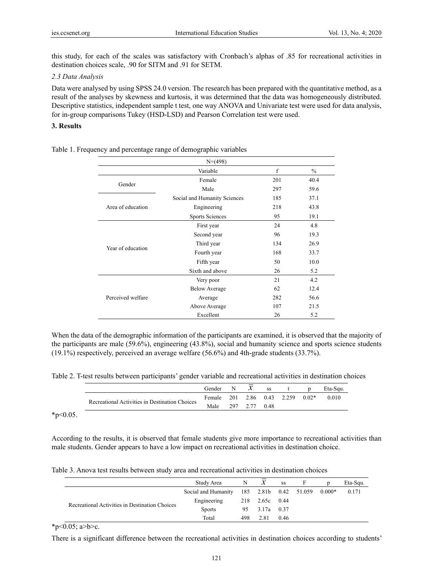this study, for each of the scales was satisfactory with Cronbach's alphas of .85 for recreational activities in destination choices scale, .90 for SITM and .91 for SETM.

#### *2.3 Data Analysis*

Data were analysed by using SPSS 24.0 version. The research has been prepared with the quantitative method, as a result of the analyses by skewness and kurtosis, it was determined that the data was homogeneously distributed. Descriptive statistics, independent sample t test, one way ANOVA and Univariate test were used for data analysis, for in-group comparisons Tukey (HSD-LSD) and Pearson Correlation test were used.

# **3. Results**

|                   | $N=(498)$                    |     |               |
|-------------------|------------------------------|-----|---------------|
|                   | Variable                     | f   | $\frac{0}{0}$ |
| Gender            | Female                       | 201 | 40.4          |
|                   | Male                         | 297 | 59.6          |
|                   | Social and Humanity Sciences | 185 | 37.1          |
| Area of education | Engineering                  | 218 | 43.8          |
|                   | Sports Sciences              | 95  | 19.1          |
|                   | First year                   | 24  | 4.8           |
|                   | Second year                  | 96  | 19.3          |
| Year of education | Third year                   | 134 | 26.9          |
|                   | Fourth year                  | 168 | 33.7          |
|                   | Fifth year                   | 50  | 10.0          |
|                   | Sixth and above              | 26  | 5.2           |
|                   | Very poor                    | 21  | 4.2           |
|                   | <b>Below Average</b>         | 62  | 12.4          |
| Perceived welfare | Average                      | 282 | 56.6          |
|                   | Above Average                | 107 | 21.5          |
|                   | Excellent                    | 26  | 5.2           |

Table 1. Frequency and percentage range of demographic variables

When the data of the demographic information of the participants are examined, it is observed that the majority of the participants are male (59.6%), engineering (43.8%), social and humanity science and sports science students (19.1%) respectively, perceived an average welfare (56.6%) and 4th-grade students (33.7%).

Table 2. T-test results between participants' gender variable and recreational activities in destination choices

|                                                | Gender | N |          | SS   |                     |         | Eta-Squ. |
|------------------------------------------------|--------|---|----------|------|---------------------|---------|----------|
| Recreational Activities in Destination Choices | Female |   |          |      | 201 2.86 0.43 2.259 | $0.02*$ | 0.010    |
|                                                | Male   |   | 297 2.77 | 0.48 |                     |         |          |

 $*_{p<0.05}$ .

According to the results, it is observed that female students give more importance to recreational activities than male students. Gender appears to have a low impact on recreational activities in destination choice.

| Table 3. Anova test results between study area and recreational activities in destination choices |  |  |
|---------------------------------------------------------------------------------------------------|--|--|
|                                                                                                   |  |  |

|                                                | Study Area                                       | N    | $\boldsymbol{\chi}$ | SS   | F | Eta-Squ. |
|------------------------------------------------|--------------------------------------------------|------|---------------------|------|---|----------|
|                                                | Social and Humanity 185 2.81b 0.42 51.059 0.000* |      |                     |      |   | 0.171    |
|                                                | Engineering                                      |      | 218 2.65c 0.44      |      |   |          |
| Recreational Activities in Destination Choices | <b>Sports</b>                                    |      | 95 3.17a 0.37       |      |   |          |
|                                                | Total                                            | 498. | 2.81                | 0.46 |   |          |

\*p< $0.05$ ; a>b>c.

There is a significant difference between the recreational activities in destination choices according to students'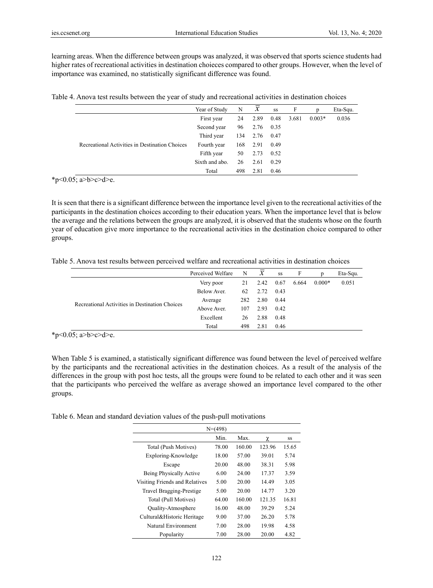learning areas. When the difference between groups was analyzed, it was observed that sports science students had higher rates of recreational activities in destination choieces compared to other groups. However, when the level of importance was examined, no statistically significant difference was found.

| Table 4. Anova test results between the year of study and recreational activities in destination choices |  |  |  |
|----------------------------------------------------------------------------------------------------------|--|--|--|
|                                                                                                          |  |  |  |

|                                                | Year of Study  | N   | $\mathcal{X}$ | SS   | F     |          | Eta-Squ. |
|------------------------------------------------|----------------|-----|---------------|------|-------|----------|----------|
|                                                | First year     | 24  | 2.89          | 0.48 | 3.681 | $0.003*$ | 0.036    |
|                                                | Second year    | 96  | 2.76          | 0.35 |       |          |          |
|                                                | Third year     | 134 | 2.76          | 0.47 |       |          |          |
| Recreational Activities in Destination Choices | Fourth year    | 168 | 2.91          | 0.49 |       |          |          |
|                                                | Fifth year     | 50  | 2.73          | 0.52 |       |          |          |
|                                                | Sixth and abo. | 26  | 2.61          | 0.29 |       |          |          |
|                                                | Total          | 498 | 2.81          | 0.46 |       |          |          |

\*p<0.05; a>b>c>d>e.

It is seen that there is a significant difference between the importance level given to the recreational activities of the participants in the destination choices according to their education years. When the importance level that is below the average and the relations between the groups are analyzed, it is observed that the students whose on the fourth year of education give more importance to the recreational activities in the destination choice compared to other groups.

Table 5. Anova test results between perceived welfare and recreational activities in destination choices

|                                                | Perceived Welfare | N   | $\mathcal{X}$ | SS   | F     |          | Eta-Squ. |
|------------------------------------------------|-------------------|-----|---------------|------|-------|----------|----------|
|                                                | Very poor         | 21  | 2.42 0.67     |      | 6.664 | $0.000*$ | 0.051    |
|                                                | Below Aver.       | 62  | 2.72          | 0.43 |       |          |          |
|                                                | Average           | 282 | 2.80          | 0.44 |       |          |          |
| Recreational Activities in Destination Choices | Above Aver.       | 107 | 2.93          | 0.42 |       |          |          |
|                                                | Excellent         | 26  | 2.88          | 0.48 |       |          |          |
|                                                | Total             | 498 | 2.81          | 0.46 |       |          |          |

\*p<0.05; a>b>c>d>e.

When Table 5 is examined, a statistically significant difference was found between the level of perceived welfare by the participants and the recreational activities in the destination choices. As a result of the analysis of the differences in the group with post hoc tests, all the groups were found to be related to each other and it was seen that the participants who perceived the welfare as average showed an importance level compared to the other groups.

Table 6. Mean and standard deviation values of the push-pull motivations

|                                | $N=(498)$ |        |        |       |
|--------------------------------|-----------|--------|--------|-------|
|                                | Min.      | Max.   | χ      | SS    |
| Total (Push Motives)           | 78.00     | 160.00 | 123.96 | 15.65 |
| Exploring-Knowledge            | 18.00     | 57.00  | 39.01  | 5.74  |
| Escape                         | 20.00     | 48.00  | 38.31  | 5.98  |
| Being Physically Active        | 6.00      | 24.00  | 17.37  | 3.59  |
| Visiting Friends and Relatives | 5.00      | 20.00  | 14.49  | 3.05  |
| Travel Bragging-Prestige       | 5.00      | 20.00  | 14.77  | 3.20  |
| Total (Pull Motives)           | 64.00     | 160.00 | 121.35 | 16.81 |
| <b>Quality-Atmosphere</b>      | 16.00     | 48.00  | 39.29  | 5.24  |
| Cultural&Historic Heritage     | 9.00      | 37.00  | 26.20  | 5.78  |
| Natural Environment            | 7.00      | 28.00  | 19.98  | 4.58  |
| Popularity                     | 7.00      | 28.00  | 20.00  | 4.82  |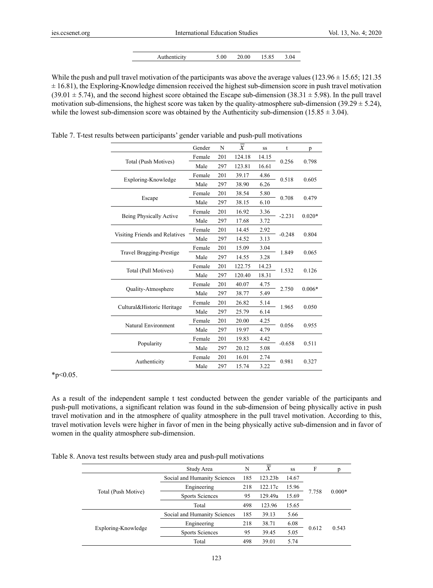|  | Authenticity | 5.00 | 20.00 | 15.85 | 3.04 |
|--|--------------|------|-------|-------|------|
|--|--------------|------|-------|-------|------|

While the push and pull travel motivation of the participants was above the average values ( $123.96 \pm 15.65$ ;  $121.35$ )  $\pm$  16.81), the Exploring-Knowledge dimension received the highest sub-dimension score in push travel motivation  $(39.01 \pm 5.74)$ , and the second highest score obtained the Escape sub-dimension  $(38.31 \pm 5.98)$ . In the pull travel motivation sub-dimensions, the highest score was taken by the quality-atmosphere sub-dimension (39.29  $\pm$  5.24), while the lowest sub-dimension score was obtained by the Authenticity sub-dimension (15.85  $\pm$  3.04).

|                                 | Gender | N   | $\overline{x}$ | SS    | t        | p        |  |
|---------------------------------|--------|-----|----------------|-------|----------|----------|--|
|                                 | Female | 201 | 124.18         | 14.15 | 0.256    | 0.798    |  |
| Total (Push Motives)            | Male   | 297 | 123.81         | 16.61 |          |          |  |
|                                 | Female | 201 | 39.17          | 4.86  | 0.518    | 0.605    |  |
| Exploring-Knowledge             | Male   | 297 | 38.90          | 6.26  |          |          |  |
|                                 | Female | 201 | 38.54          | 5.80  |          |          |  |
| Escape                          | Male   | 297 | 38.15          | 6.10  | 0.708    | 0.479    |  |
|                                 | Female | 201 | 16.92          | 3.36  |          |          |  |
| Being Physically Active         | Male   | 297 | 17.68          | 3.72  | $-2.231$ | $0.020*$ |  |
|                                 | Female | 201 | 14.45          | 2.92  |          |          |  |
| Visiting Friends and Relatives  | Male   | 297 | 14.52          | 3.13  | $-0.248$ | 0.804    |  |
| <b>Travel Bragging-Prestige</b> | Female | 201 | 15.09          | 3.04  | 1.849    | 0.065    |  |
|                                 | Male   | 297 | 14.55          | 3.28  |          |          |  |
|                                 | Female | 201 | 122.75         | 14.23 | 1.532    |          |  |
| Total (Pull Motives)            | Male   | 297 | 120.40         | 18.31 |          | 0.126    |  |
|                                 | Female | 201 | 40.07          | 4.75  | 2.750    | $0.006*$ |  |
| <b>Quality-Atmosphere</b>       | Male   | 297 | 38.77          | 5.49  |          |          |  |
|                                 | Female | 201 | 26.82          | 5.14  |          |          |  |
| Cultural&Historic Heritage      | Male   | 297 | 25.79          | 6.14  | 1.965    | 0.050    |  |
|                                 | Female | 201 | 20.00          | 4.25  |          |          |  |
| Natural Environment             | Male   | 297 | 19.97          | 4.79  | 0.056    | 0.955    |  |
|                                 | Female | 201 | 19.83          | 4.42  |          | 0.511    |  |
| Popularity                      | Male   | 297 | 20.12          | 5.08  | $-0.658$ |          |  |
|                                 | Female | 201 | 16.01          | 2.74  |          |          |  |
| Authenticity                    | Male   | 297 | 15.74          | 3.22  | 0.981    | 0.327    |  |

Table 7. T-test results between participants' gender variable and push-pull motivations

 $*_{p<0.05}$ .

As a result of the independent sample t test conducted between the gender variable of the participants and push-pull motivations, a significant relation was found in the sub-dimension of being physically active in push travel motivation and in the atmosphere of quality atmosphere in the pull travel motivation. According to this, travel motivation levels were higher in favor of men in the being physically active sub-dimension and in favor of women in the quality atmosphere sub-dimension.

Table 8. Anova test results between study area and push-pull motivations

|                     | Study Area                   | N   | $\boldsymbol{\mathsf{x}}$ | SS    | F     | n        |
|---------------------|------------------------------|-----|---------------------------|-------|-------|----------|
|                     | Social and Humanity Sciences | 185 | 123.23b                   | 14.67 |       |          |
| Total (Push Motive) | Engineering                  | 218 | 122.17c                   | 15.96 |       |          |
|                     | <b>Sports Sciences</b>       | 95  | 129.49a                   | 15.69 | 7.758 | $0.000*$ |
|                     | Total                        | 498 | 123.96                    | 15.65 |       |          |
|                     | Social and Humanity Sciences | 185 | 39.13                     | 5.66  |       |          |
| Exploring-Knowledge | Engineering                  | 218 | 38.71                     | 6.08  |       |          |
|                     | <b>Sports Sciences</b>       | 95  | 39.45                     | 5.05  | 0.612 | 0.543    |
|                     | Total                        | 498 | 39.01                     | 5.74  |       |          |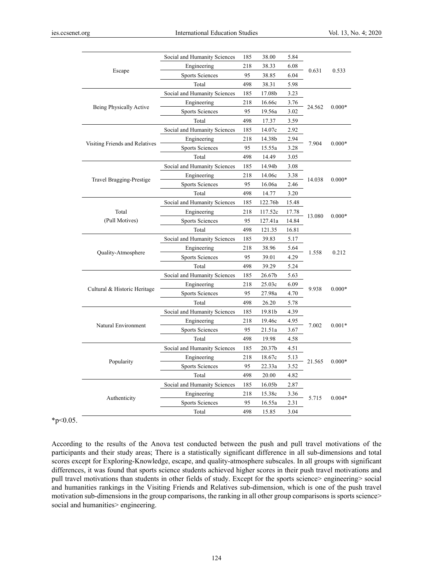|                                | Social and Humanity Sciences                     | 185 | 38.00   | 5.84     |          |          |
|--------------------------------|--------------------------------------------------|-----|---------|----------|----------|----------|
|                                | Engineering                                      | 218 | 38.33   | 6.08     | 0.631    |          |
| Escape                         | <b>Sports Sciences</b>                           | 95  | 38.85   | 6.04     |          | 0.533    |
|                                | Total                                            | 498 | 38.31   | 5.98     |          |          |
|                                | Social and Humanity Sciences                     | 185 | 17.08b  | 3.23     |          |          |
|                                | Engineering                                      | 218 | 16.66c  | 3.76     |          | $0.000*$ |
| Being Physically Active        | <b>Sports Sciences</b>                           | 95  | 19.56a  | 3.02     | 24.562   |          |
|                                | Total                                            | 498 | 17.37   | 3.59     |          |          |
|                                | Social and Humanity Sciences                     | 185 | 14.07c  | 2.92     |          |          |
|                                | Engineering                                      | 218 | 14.38b  | 2.94     | 7.904    |          |
| Visiting Friends and Relatives | <b>Sports Sciences</b><br>95<br>15.55a<br>3.28   |     |         |          | $0.000*$ |          |
|                                | Total                                            | 498 | 14.49   | 3.05     |          |          |
|                                | Social and Humanity Sciences                     | 185 | 14.94b  | 3.08     |          |          |
|                                | Engineering                                      | 218 | 14.06c  | 3.38     | 14.038   | $0.000*$ |
| Travel Bragging-Prestige       | <b>Sports Sciences</b>                           | 95  | 16.06a  | 2.46     |          |          |
|                                | Total                                            | 498 | 14.77   | 3.20     |          |          |
|                                | Social and Humanity Sciences                     | 185 | 122.76b | 15.48    |          |          |
| Total                          | 117.52c<br>Engineering<br>218<br>17.78           |     |         | $0.000*$ |          |          |
| (Pull Motives)                 | <b>Sports Sciences</b><br>95<br>127.41a<br>14.84 |     | 13.080  |          |          |          |
|                                | Total                                            | 498 | 121.35  | 16.81    |          |          |
|                                | Social and Humanity Sciences                     | 185 | 39.83   | 5.17     |          |          |
|                                | 218<br>38.96<br>Engineering                      |     | 5.64    | 1.558    | 0.212    |          |
| Quality-Atmosphere             | <b>Sports Sciences</b><br>95<br>39.01<br>4.29    |     |         |          |          |          |
|                                | Total                                            | 498 | 39.29   | 5.24     |          |          |
|                                | Social and Humanity Sciences                     | 185 | 26.67b  | 5.63     |          |          |
|                                | Engineering                                      | 218 | 25.03c  | 6.09     | 9.938    |          |
| Cultural & Historic Heritage   | <b>Sports Sciences</b>                           | 95  | 27.98a  | 4.70     |          | $0.000*$ |
|                                | Total                                            | 498 | 26.20   | 5.78     |          |          |
|                                | Social and Humanity Sciences                     | 185 | 19.81b  | 4.39     |          |          |
| Natural Environment            | Engineering<br>218                               |     | 19.46c  | 4.95     | 7.002    | $0.001*$ |
|                                | <b>Sports Sciences</b>                           | 95  | 21.51a  | 3.67     |          |          |
|                                | Total                                            | 498 | 19.98   | 4.58     |          |          |
|                                | Social and Humanity Sciences                     | 185 | 20.37b  | 4.51     |          |          |
| Popularity                     | 218<br>Engineering                               |     | 18.67c  | 5.13     | 21.565   | $0.000*$ |
|                                | <b>Sports Sciences</b>                           | 95  | 22.33a  | 3.52     |          |          |
|                                | Total                                            | 498 | 20.00   | 4.82     |          |          |
|                                | Social and Humanity Sciences                     | 185 | 16.05b  | 2.87     |          |          |
|                                | Engineering                                      | 218 | 15.38c  | 3.36     | 5.715    | $0.004*$ |
| Authenticity                   | <b>Sports Sciences</b>                           | 95  | 16.55a  | 2.31     |          |          |
|                                | Total                                            | 498 | 15.85   | 3.04     |          |          |

 $*_{p<0.05}$ .

According to the results of the Anova test conducted between the push and pull travel motivations of the participants and their study areas; There is a statistically significant difference in all sub-dimensions and total scores except for Exploring-Knowledge, escape, and quality-atmosphere subscales. In all groups with significant differences, it was found that sports science students achieved higher scores in their push travel motivations and pull travel motivations than students in other fields of study. Except for the sports science> engineering> social and humanities rankings in the Visiting Friends and Relatives sub-dimension, which is one of the push travel motivation sub-dimensions in the group comparisons, the ranking in all other group comparisons is sports science> social and humanities> engineering.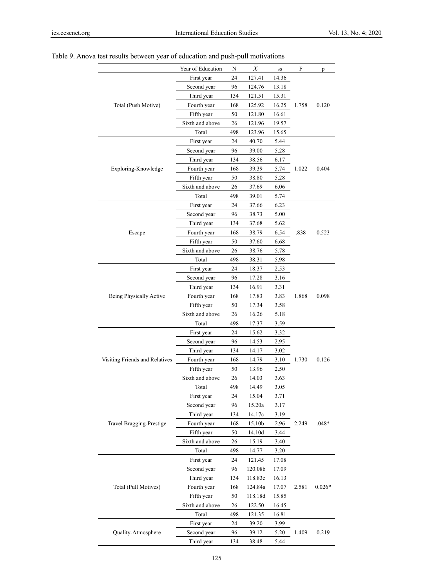|                                | Year of Education | N   | $\overline{x}$     | SS    | F     | p        |
|--------------------------------|-------------------|-----|--------------------|-------|-------|----------|
|                                | First year        | 24  | 127.41             | 14.36 |       |          |
|                                | Second year       | 96  | 124.76             | 13.18 |       |          |
|                                | Third year        | 134 | 121.51             | 15.31 |       |          |
| Total (Push Motive)            | Fourth year       | 168 | 125.92             | 16.25 | 1.758 | 0.120    |
|                                | Fifth year        | 50  | 121.80             | 16.61 |       |          |
|                                | Sixth and above   | 26  | 121.96             | 19.57 |       |          |
|                                | Total             | 498 | 123.96             | 15.65 |       |          |
|                                | First year        | 24  | 40.70              | 5.44  |       |          |
|                                | Second year       | 96  | 39.00              | 5.28  |       |          |
|                                | Third year        | 134 | 38.56              | 6.17  |       |          |
| Exploring-Knowledge            | Fourth year       | 168 | 39.39              | 5.74  | 1.022 | 0.404    |
|                                | Fifth year        | 50  | 38.80              | 5.28  |       |          |
|                                | Sixth and above   | 26  | 37.69              | 6.06  |       |          |
|                                | Total             | 498 | 39.01              | 5.74  |       |          |
|                                | First year        | 24  | 37.66              | 6.23  |       |          |
|                                | Second year       | 96  | 38.73              | 5.00  |       |          |
|                                | Third year        | 134 | 37.68              | 5.62  |       |          |
| Escape                         | Fourth year       | 168 | 38.79              | 6.54  | .838  | 0.523    |
|                                | Fifth year        | 50  | 37.60              | 6.68  |       |          |
|                                | Sixth and above   | 26  | 38.76              | 5.78  |       |          |
|                                | Total             | 498 | 38.31              | 5.98  |       |          |
|                                | First year        | 24  | 18.37              | 2.53  |       |          |
|                                | Second year       | 96  | 17.28              | 3.16  |       |          |
|                                | Third year        | 134 | 16.91              | 3.31  |       |          |
| Being Physically Active        | Fourth year       | 168 | 17.83              | 3.83  | 1.868 | 0.098    |
|                                | Fifth year        | 50  | 17.34              | 3.58  |       |          |
|                                | Sixth and above   | 26  | 16.26              | 5.18  |       |          |
|                                | Total             | 498 | 17.37              | 3.59  |       |          |
|                                | First year        | 24  | 15.62              | 3.32  |       |          |
|                                | Second year       | 96  | 14.53              | 2.95  |       |          |
|                                | Third year        | 134 | 14.17              | 3.02  |       |          |
| Visiting Friends and Relatives | Fourth year       | 168 | 14.79              | 3.10  | 1.730 | 0.126    |
|                                | Fifth year        | 50  | 13.96              | 2.50  |       |          |
|                                | Sixth and above   | 26  | 14.03              | 3.63  |       |          |
|                                | Total             | 498 | 14.49              | 3.05  |       |          |
|                                | First year        | 24  | 15.04              | 3.71  |       |          |
|                                | Second year       | 96  | 15.20a             | 3.17  |       |          |
|                                | Third year        | 134 | 14.17c             | 3.19  |       |          |
| Travel Bragging-Prestige       | Fourth year       | 168 | 15.10b             | 2.96  | 2.249 | $.048*$  |
|                                | Fifth year        | 50  | 14.10d             | 3.44  |       |          |
|                                | Sixth and above   | 26  | 15.19              | 3.40  |       |          |
|                                | Total             | 498 | 14.77              | 3.20  |       |          |
|                                | First year        | 24  | 121.45             | 17.08 |       |          |
|                                | Second year       | 96  | 120.08b            | 17.09 |       |          |
|                                | Third year        | 134 | 118.83c            | 16.13 |       |          |
| Total (Pull Motives)           | Fourth year       | 168 | 124.84a            | 17.07 | 2.581 | $0.026*$ |
|                                | Fifth year        | 50  | $118.18\mathrm{d}$ | 15.85 |       |          |
|                                | Sixth and above   | 26  | 122.50             | 16.45 |       |          |
|                                | Total             | 498 | 121.35             | 16.81 |       |          |
|                                | First year        | 24  | 39.20              | 3.99  |       |          |
| Quality-Atmosphere             | Second year       | 96  | 39.12              | 5.20  | 1.409 | 0.219    |
|                                | Third year        | 134 | 38.48              | 5.44  |       |          |
|                                |                   |     |                    |       |       |          |

# Table 9. Anova test results between year of education and push-pull motivations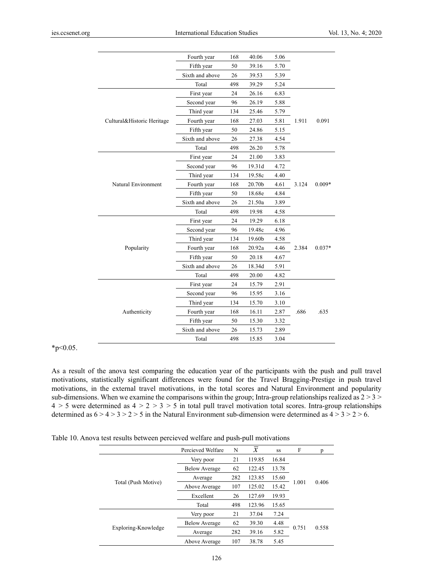|                            | Fourth year     | 168 | 40.06  | 5.06 |       |          |
|----------------------------|-----------------|-----|--------|------|-------|----------|
|                            | Fifth year      | 50  | 39.16  | 5.70 |       |          |
|                            | Sixth and above | 26  | 39.53  | 5.39 |       |          |
|                            | Total           | 498 | 39.29  | 5.24 |       |          |
|                            | First year      | 24  | 26.16  | 6.83 |       |          |
|                            | Second year     | 96  | 26.19  | 5.88 |       |          |
|                            | Third year      | 134 | 25.46  | 5.79 |       |          |
| Cultural&Historic Heritage | Fourth year     | 168 | 27.03  | 5.81 | 1.911 | 0.091    |
|                            | Fifth year      | 50  | 24.86  | 5.15 |       |          |
|                            | Sixth and above | 26  | 27.38  | 4.54 |       |          |
|                            | Total           | 498 | 26.20  | 5.78 |       |          |
|                            | First year      | 24  | 21.00  | 3.83 |       |          |
|                            | Second year     | 96  | 19.31d | 4.72 |       |          |
|                            | Third year      | 134 | 19.58c | 4.40 |       |          |
| Natural Environment        | Fourth year     | 168 | 20.70b | 4.61 | 3.124 | $0.009*$ |
|                            | Fifth year      | 50  | 18.68e | 4.84 |       |          |
|                            | Sixth and above | 26  | 21.50a | 3.89 |       |          |
|                            | Total           | 498 | 19.98  | 4.58 |       |          |
|                            | First year      | 24  | 19.29  | 6.18 |       |          |
|                            | Second year     | 96  | 19.48c | 4.96 |       |          |
|                            | Third year      | 134 | 19.60b | 4.58 |       |          |
| Popularity                 | Fourth year     | 168 | 20.92a | 4.46 | 2.384 | $0.037*$ |
|                            | Fifth year      | 50  | 20.18  | 4.67 |       |          |
|                            | Sixth and above | 26  | 18.34d | 5.91 |       |          |
|                            | Total           | 498 | 20.00  | 4.82 |       |          |
|                            | First year      | 24  | 15.79  | 2.91 |       |          |
|                            | Second year     | 96  | 15.95  | 3.16 |       |          |
|                            | Third year      | 134 | 15.70  | 3.10 |       |          |
| Authenticity               | Fourth year     | 168 | 16.11  | 2.87 | .686  | .635     |
|                            | Fifth year      | 50  | 15.30  | 3.32 |       |          |
|                            | Sixth and above | 26  | 15.73  | 2.89 |       |          |
|                            | Total           | 498 | 15.85  | 3.04 |       |          |

\*p<0.05.

As a result of the anova test comparing the education year of the participants with the push and pull travel motivations, statistically significant differences were found for the Travel Bragging-Prestige in push travel motivations, in the external travel motivations, in the total scores and Natural Environment and popularity sub-dimensions. When we examine the comparisons within the group; Intra-group relationships realized as  $2 > 3$  $4 > 5$  were determined as  $4 > 2 > 3 > 5$  in total pull travel motivation total scores. Intra-group relationships determined as  $6 > 4 > 3 > 2 > 5$  in the Natural Environment sub-dimension were determined as  $4 > 3 > 2 > 6$ .

Table 10. Anova test results between percieved welfare and push-pull motivations

|                     | Percieved Welfare                    | N   | $\boldsymbol{\mathcal{X}}$ | SS    | F     | p     |
|---------------------|--------------------------------------|-----|----------------------------|-------|-------|-------|
|                     | Very poor                            | 21  | 119.85                     | 16.84 |       |       |
|                     | 62<br>122.45<br><b>Below Average</b> |     | 13.78                      |       |       |       |
|                     | Average                              | 282 | 123.85                     | 15.60 |       | 0.406 |
| Total (Push Motive) | Above Average                        | 107 | 125.02                     | 15.42 | 1.001 |       |
|                     | Excellent                            | 26  | 127.69                     | 19.93 |       |       |
|                     | Total                                | 498 | 123.96                     | 15.65 |       |       |
|                     | Very poor                            | 21  | 37.04                      | 7.24  |       |       |
| Exploring-Knowledge | <b>Below Average</b>                 | 62  | 39.30                      | 4.48  |       | 0.558 |
|                     | Average                              | 282 | 39.16                      | 5.82  | 0.751 |       |
|                     | Above Average                        | 107 | 38.78                      | 5.45  |       |       |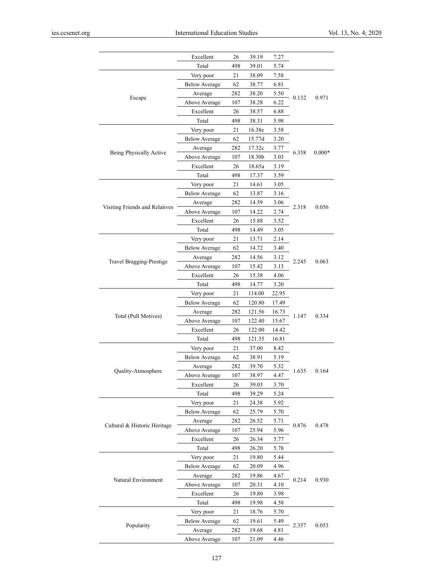|                                 | Excellent            | 26  | 39.19  | 7.27  |       |          |
|---------------------------------|----------------------|-----|--------|-------|-------|----------|
|                                 | Total                | 498 | 39.01  | 5.74  |       |          |
|                                 | Very poor            | 21  | 38.09  | 7.58  |       |          |
|                                 | <b>Below Average</b> | 62  | 38.77  | 6.81  |       |          |
|                                 | Average              | 282 | 38.20  | 5.50  |       |          |
| Escape                          | Above Average        | 107 | 38.28  | 6.22  | 0.132 | 0.971    |
|                                 | Excellent            | 26  | 38.57  | 6.88  |       |          |
|                                 | Total                | 498 | 38.31  | 5.98  |       |          |
|                                 | Very poor            | 21  | 16.38e | 3.58  |       |          |
|                                 | <b>Below Average</b> | 62  | 15.77d | 3.20  |       |          |
|                                 | Average              | 282 | 17.32c | 3.77  | 6.358 | $0.000*$ |
| Being Physically Active         | Above Average        | 107 | 18.30b | 3.03  |       |          |
|                                 | Excellent            | 26  | 18.65a | 3.19  |       |          |
|                                 | Total                | 498 | 17.37  | 3.59  |       |          |
|                                 | Very poor            | 21  | 14.61  | 3.05  |       |          |
|                                 | <b>Below Average</b> | 62  | 13.87  | 3.16  |       |          |
| Visiting Friends and Relatives  | Average              | 282 | 14.59  | 3.06  | 2.318 | 0.056    |
|                                 | Above Average        | 107 | 14.22  | 2.74  |       |          |
|                                 | Excellent            | 26  | 15.88  | 3.52  |       |          |
|                                 | Total                | 498 | 14.49  | 3.05  |       |          |
|                                 | Very poor            | 21  | 13.71  | 2.14  |       |          |
| <b>Travel Bragging-Prestige</b> | <b>Below Average</b> | 62  | 14.72  | 3.40  |       |          |
|                                 | Average              | 282 | 14.56  | 3.12  |       | 0.063    |
|                                 | Above Average        | 107 | 15.42  | 3.13  | 2.245 |          |
|                                 | Excellent            | 26  | 15.38  | 4.06  |       |          |
|                                 | Total                | 498 | 14.77  | 3.20  |       |          |
|                                 | Very poor            | 21  | 114.00 | 22.95 |       |          |
|                                 | <b>Below Average</b> | 62  | 120.80 | 17.49 |       |          |
| Total (Pull Motives)            | Average              | 282 | 121.56 | 16.73 | 1.147 | 0.334    |
|                                 | Above Average        | 107 | 122.40 | 15.67 |       |          |
|                                 | Excellent            | 26  | 122.00 | 14.42 |       |          |
|                                 | Total                | 498 | 121.35 | 16.81 |       |          |
|                                 | Very poor            | 21  | 37.00  | 8.42  |       |          |
|                                 | <b>Below Average</b> | 62  | 38.91  | 5.19  |       |          |
| Quality-Atmosphere              | Average              | 282 | 39.70  | 5.32  | 1.635 | 0.164    |
|                                 | Above Average        | 107 | 38.97  | 4.47  |       |          |
|                                 | Excellent            | 26  | 39.03  | 3.70  |       |          |
|                                 | Total                | 498 | 39.29  | 5.24  |       |          |
|                                 | Very poor            | 21  | 24.38  | 5.92  |       |          |
|                                 | <b>Below Average</b> | 62  | 25.79  | 5.70  |       |          |
| Cultural & Historic Heritage    | Average              | 282 | 26.52  | 5.71  | 0.876 | 0.478    |
|                                 | Above Average        | 107 | 25.94  | 5.96  |       |          |
|                                 | Excellent            | 26  | 26.34  | 5.77  |       |          |
|                                 | Total                | 498 | 26.20  | 5.78  |       |          |
| Natural Environment             | Very poor            | 21  | 19.80  | 5.44  |       |          |
|                                 | <b>Below Average</b> | 62  | 20.09  | 4.96  |       |          |
|                                 | Average              | 282 | 19.86  | 4.67  | 0.214 | 0.930    |
|                                 | Above Average        | 107 | 20.31  | 4.10  |       |          |
|                                 | Excellent            | 26  | 19.80  | 3.98  |       |          |
|                                 | Total                | 498 | 19.98  | 4.58  |       |          |
|                                 | Very poor            | 21  | 18.76  | 5.70  |       |          |
| Popularity                      | <b>Below Average</b> | 62  | 19.61  | 5.49  | 2.357 | 0.053    |
|                                 | Average              | 282 | 19.68  | 4.81  |       |          |
|                                 | Above Average        | 107 | 21.09  | 4.46  |       |          |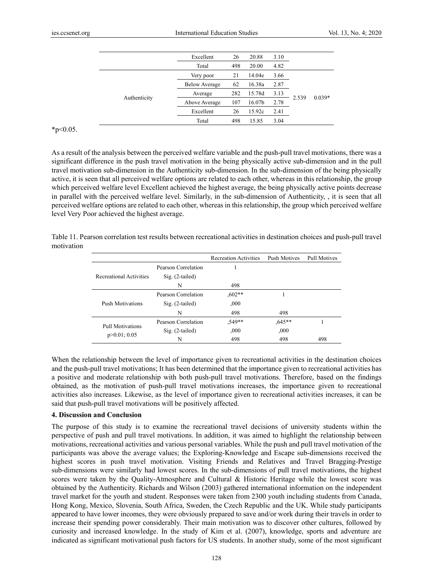|              | Excellent            | 26  | 20.88              | 3.10 |       |          |
|--------------|----------------------|-----|--------------------|------|-------|----------|
|              | Total                | 498 | 20.00              | 4.82 |       |          |
| Authenticity | Very poor            | 21  | 14.04e             | 3.66 |       |          |
|              | <b>Below Average</b> | 62  | 16.38a             | 2.87 |       |          |
|              | Average              | 282 | 15.78d             | 3.13 |       |          |
|              | Above Average        | 107 | 16.07 <sub>b</sub> | 2.78 | 2.539 | $0.039*$ |
|              | Excellent            | 26  | 15.92c             | 2.41 |       |          |
|              | Total                | 498 | 15.85              | 3.04 |       |          |

#### $*_{p<0.05}$ .

As a result of the analysis between the perceived welfare variable and the push-pull travel motivations, there was a significant difference in the push travel motivation in the being physically active sub-dimension and in the pull travel motivation sub-dimension in the Authenticity sub-dimension. In the sub-dimension of the being physically active, it is seen that all perceived welfare options are related to each other, whereas in this relationship, the group which perceived welfare level Excellent achieved the highest average, the being physically active points decrease in parallel with the perceived welfare level. Similarly, in the sub-dimension of Authenticity, , it is seen that all perceived welfare options are related to each other, whereas in this relationship, the group which perceived welfare level Very Poor achieved the highest average.

Table 11. Pearson correlation test results between recreational activities in destination choices and push-pull travel motivation

|                         |                     | <b>Recreation Activities</b> | Push Motives | <b>Pull Motives</b> |
|-------------------------|---------------------|------------------------------|--------------|---------------------|
|                         | Pearson Correlation |                              |              |                     |
| Recreational Activities | $Sig. (2-tailed)$   |                              |              |                     |
|                         | N                   | 498                          |              |                     |
| Push Motivations        | Pearson Correlation | $0.602**$                    |              |                     |
|                         | $Sig. (2-tailed)$   | ,000                         |              |                     |
|                         | N                   | 498                          | 498          |                     |
| Pull Motivations        | Pearson Correlation | $.549**$                     | $0.645**$    |                     |
|                         | $Sig. (2-tailed)$   | ,000                         | ,000         |                     |
| p > 0.01; 0.05          | N                   | 498                          | 498          | 498                 |

When the relationship between the level of importance given to recreational activities in the destination choices and the push-pull travel motivations; It has been determined that the importance given to recreational activities has a positive and moderate relationship with both push-pull travel motivations. Therefore, based on the findings obtained, as the motivation of push-pull travel motivations increases, the importance given to recreational activities also increases. Likewise, as the level of importance given to recreational activities increases, it can be said that push-pull travel motivations will be positively affected.

### **4. Discussion and Conclusion**

The purpose of this study is to examine the recreational travel decisions of university students within the perspective of push and pull travel motivations. In addition, it was aimed to highlight the relationship between motivations, recreational activities and various personal variables. While the push and pull travel motivation of the participants was above the average values; the Exploring-Knowledge and Escape sub-dimensions received the highest scores in push travel motivation. Visiting Friends and Relatives and Travel Bragging-Prestige sub-dimensions were similarly had lowest scores. In the sub-dimensions of pull travel motivations, the highest scores were taken by the Quality-Atmosphere and Cultural & Historic Heritage while the lowest score was obtained by the Authenticity. Richards and Wilson (2003) gathered international information on the independent travel market for the youth and student. Responses were taken from 2300 youth including students from Canada, Hong Kong, Mexico, Slovenia, South Africa, Sweden, the Czech Republic and the UK. While study participants appeared to have lower incomes, they were obviously prepared to save and/or work during their travels in order to increase their spending power considerably. Their main motivation was to discover other cultures, followed by curiosity and increased knowledge. In the study of Kim et al. (2007), knowledge, sports and adventure are indicated as significant motivational push factors for US students. In another study, some of the most significant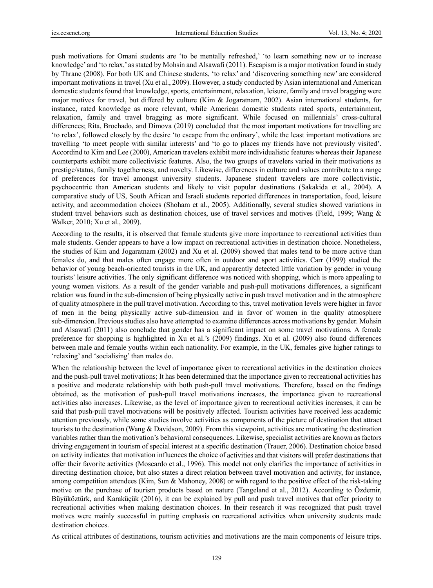push motivations for Omani students are 'to be mentally refreshed,' 'to learn something new or to increase knowledge' and 'to relax,' as stated by Mohsin and Alsawafi (2011). Escapism is a major motivation found in study by Thrane (2008). For both UK and Chinese students, 'to relax' and 'discovering something new' are considered important motivations in travel (Xu et al., 2009). However, a study conducted by Asian international and American domestic students found that knowledge, sports, entertainment, relaxation, leisure, family and travel bragging were major motives for travel, but differed by culture (Kim & Jogaratnam, 2002). Asian international students, for instance, rated knowledge as more relevant, while American domestic students rated sports, entertainment, relaxation, family and travel bragging as more significant. While focused on millennials' cross-cultural differences; Rita, Brochado, and Dimova (2019) concluded that the most important motivations for travelling are 'to relax', followed closely by the desire 'to escape from the ordinary', while the least important motivations are travelling 'to meet people with similar interests' and 'to go to places my friends have not previously visited'. Accordind to Kim and Lee (2000), American travelers exhibit more individualistic features whereas their Japanese counterparts exhibit more collectivistic features. Also, the two groups of travelers varied in their motivations as prestige/status, family togetherness, and novelty. Likewise, differences in culture and values contribute to a range of preferences for travel amongst university students. Japanese student travelers are more collectivistic, psychocentric than American students and likely to visit popular destinations (Sakakida et al., 2004). A comparative study of US, South African and Israeli students reported differences in transportation, food, leisure activity, and accommodation choices (Shoham et al., 2005). Additionally, several studies showed variations in student travel behaviors such as destination choices, use of travel services and motives (Field, 1999; Wang & Walker, 2010; Xu et al., 2009).

According to the results, it is observed that female students give more importance to recreational activities than male students. Gender appears to have a low impact on recreational activities in destination choice. Nonetheless, the studies of Kim and Jogaratnam (2002) and Xu et al. (2009) showed that males tend to be more active than females do, and that males often engage more often in outdoor and sport activities. Carr (1999) studied the behavior of young beach-oriented tourists in the UK, and apparently detected little variation by gender in young tourists' leisure activities. The only significant difference was noticed with shopping, which is more appealing to young women visitors. As a result of the gender variable and push-pull motivations differences, a significant relation was found in the sub-dimension of being physically active in push travel motivation and in the atmosphere of quality atmosphere in the pull travel motivation. According to this, travel motivation levels were higher in favor of men in the being physically active sub-dimension and in favor of women in the quality atmosphere sub-dimension. Previous studies also have attempted to examine differences across motivations by gender. Mohsin and Alsawafi (2011) also conclude that gender has a significant impact on some travel motivations. A female preference for shopping is highlighted in Xu et al.'s (2009) findings. Xu et al. (2009) also found differences between male and female youths within each nationality. For example, in the UK, females give higher ratings to 'relaxing' and 'socialising' than males do.

When the relationship between the level of importance given to recreational activities in the destination choices and the push-pull travel motivations; It has been determined that the importance given to recreational activities has a positive and moderate relationship with both push-pull travel motivations. Therefore, based on the findings obtained, as the motivation of push-pull travel motivations increases, the importance given to recreational activities also increases. Likewise, as the level of importance given to recreational activities increases, it can be said that push-pull travel motivations will be positively affected. Tourism activities have received less academic attention previously, while some studies involve activities as components of the picture of destination that attract tourists to the destination (Wang & Davidson, 2009). From this viewpoint, activities are motivating the destination variables rather than the motivation's behavioral consequences. Likewise, specialist activities are known as factors driving engagement in tourism of special interest at a specific destination (Trauer, 2006). Destination choice based on activity indicates that motivation influences the choice of activities and that visitors will prefer destinations that offer their favorite activities (Moscardo et al., 1996). This model not only clarifies the importance of activities in directing destination choice, but also states a direct relation between travel motivation and activity, for instance, among competition attendees (Kim, Sun & Mahoney, 2008) or with regard to the positive effect of the risk-taking motive on the purchase of tourism products based on nature (Tangeland et al., 2012). According to Özdemir, Büyüköztürk, and Karaküçük (2016), it can be explained by pull and push travel motives that offer priority to recreational activities when making destination choices. In their research it was recognized that push travel motives were mainly successful in putting emphasis on recreational activities when university students made destination choices.

As critical attributes of destinations, tourism activities and motivations are the main components of leisure trips.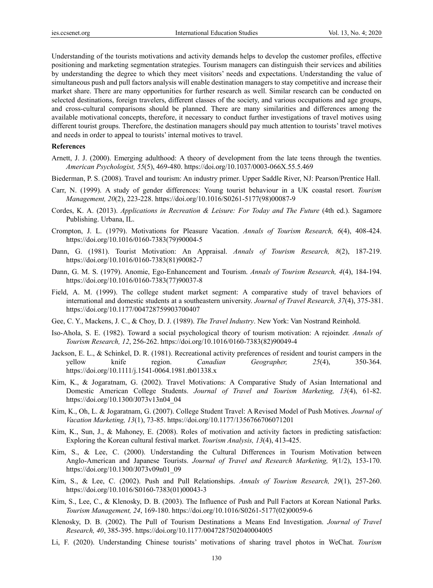Understanding of the tourists motivations and activity demands helps to develop the customer profiles, effective positioning and marketing segmentation strategies. Tourism managers can distinguish their services and abilities by understanding the degree to which they meet visitors' needs and expectations. Understanding the value of simultaneous push and pull factors analysis will enable destination managers to stay competitive and increase their market share. There are many opportunities for further research as well. Similar research can be conducted on selected destinations, foreign travelers, different classes of the society, and various occupations and age groups, and cross-cultural comparisons should be planned. There are many similarities and differences among the available motivational concepts, therefore, it necessary to conduct further investigations of travel motives using different tourist groups. Therefore, the destination managers should pay much attention to tourists' travel motives and needs in order to appeal to tourists' internal motives to travel.

#### **References**

- Arnett, J. J. (2000). Emerging adulthood: A theory of development from the late teens through the twenties. *American Psychologist, 55*(5), 469-480. https://doi.org/10.1037/0003-066X.55.5.469
- Biederman, P. S. (2008). Travel and tourism: An industry primer. Upper Saddle River, NJ: Pearson/Prentice Hall.
- Carr, N. (1999). A study of gender differences: Young tourist behaviour in a UK coastal resort. *Tourism Management, 20*(2), 223-228. https://doi.org/10.1016/S0261-5177(98)00087-9
- Cordes, K. A. (2013). *Applications in Recreation & Leisure: For Today and The Future* (4th ed.). Sagamore Publishing. Urbana, IL.
- Crompton, J. L. (1979). Motivations for Pleasure Vacation. *Annals of Tourism Research, 6*(4), 408-424. https://doi.org/10.1016/0160-7383(79)90004-5
- Dann, G. (1981). Tourist Motivation: An Appraisal. *Annals of Tourism Research, 8*(2), 187-219. https://doi.org/10.1016/0160-7383(81)90082-7
- Dann, G. M. S. (1979). Anomie, Ego-Enhancement and Tourism. *Annals of Tourism Research, 4*(4), 184-194. https://doi.org/10.1016/0160-7383(77)90037-8
- Field, A. M. (1999). The college student market segment: A comparative study of travel behaviors of international and domestic students at a southeastern university. *Journal of Travel Research, 37*(4), 375-381. https://doi.org/10.1177/004728759903700407
- Gee, C. Y., Mackens, J. C., & Choy, D. J. (1989). *The Travel Industry*. New York: Van Nostrand Reinhold.
- Iso-Ahola, S. E. (1982). Toward a social psychological theory of tourism motivation: A rejoinder. *Annals of Tourism Research, 12*, 256-262. https://doi.org/10.1016/0160-7383(82)90049-4
- Jackson, E. L., & Schinkel, D. R. (1981). Recreational activity preferences of resident and tourist campers in the yellow knife region. *Canadian Geographer, 25*(4), 350-364. https://doi.org/10.1111/j.1541-0064.1981.tb01338.x
- Kim, K., & Jogaratnam, G. (2002). Travel Motivations: A Comparative Study of Asian International and Domestic American College Students. *Journal of Travel and Tourism Marketing, 13*(4), 61-82. https://doi.org/10.1300/J073v13n04\_04
- Kim, K., Oh, L. & Jogaratnam, G. (2007). College Student Travel: A Revised Model of Push Motives. *Journal of Vacation Marketing, 13*(1), 73-85. https://doi.org/10.1177/1356766706071201
- Kim, K., Sun, J., & Mahoney, E. (2008). Roles of motivation and activity factors in predicting satisfaction: Exploring the Korean cultural festival market. *Tourism Analysis, 13*(4), 413-425.
- Kim, S., & Lee, C. (2000). Understanding the Cultural Differences in Tourism Motivation between Anglo-American and Japanese Tourists. *Journal of Travel and Research Marketing, 9*(1/2), 153-170. https://doi.org/10.1300/J073v09n01\_09
- Kim, S., & Lee, C. (2002). Push and Pull Relationships. *Annals of Tourism Research, 29*(1), 257-260. https://doi.org/10.1016/S0160-7383(01)00043-3
- Kim, S., Lee, C., & Klenosky, D. B. (2003). The Influence of Push and Pull Factors at Korean National Parks. *Tourism Management, 24*, 169-180. https://doi.org/10.1016/S0261-5177(02)00059-6
- Klenosky, D. B. (2002). The Pull of Tourism Destinations a Means End Investigation. *Journal of Travel Research, 40*, 385-395. https://doi.org/10.1177/0047287502040004005
- Li, F. (2020). Understanding Chinese tourists' motivations of sharing travel photos in WeChat. *Tourism*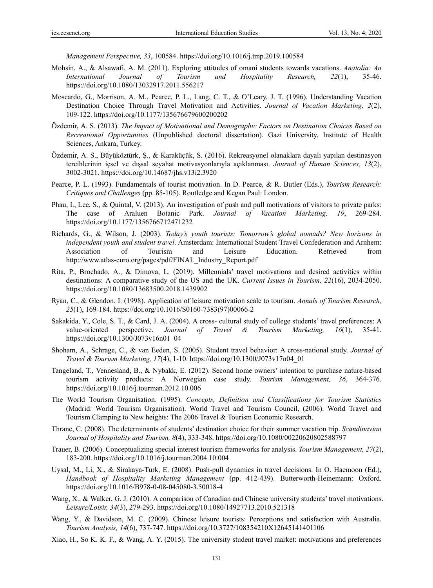*Management Perspective, 33*, 100584. https://doi.org/10.1016/j.tmp.2019.100584

- Mohsin, A., & Alsawafi, A. M. (2011). Exploring attitudes of omani students towards vacations. *Anatolia: An International Journal of Tourism and Hospitality Research, 22*(1), 35-46. https://doi.org/10.1080/13032917.2011.556217
- Moscardo, G., Morrison, A. M., Pearce, P. L., Lang, C. T., & O'Leary, J. T. (1996). Understanding Vacation Destination Choice Through Travel Motivation and Activities. *Journal of Vacation Marketing, 2*(2), 109-122. https://doi.org/10.1177/135676679600200202
- Özdemir, A. S. (2013). *The Impact of Motivational and Demographic Factors on Destination Choices Based on Recreational Opportunities* (Unpublished doctoral dissertation). Gazi University, Institute of Health Sciences, Ankara, Turkey.
- Özdemir, A. S., Büyüköztürk, Ş., & Karaküçük, S. (2016). Rekreasyonel olanaklara dayalı yapılan destinasyon tercihlerinin içsel ve dışsal seyahat motivasyonlarıyla açıklanması. *Journal of Human Sciences, 13*(2), 3002-3021. https://doi.org/10.14687/jhs.v13i2.3920
- Pearce, P. L. (1993). Fundamentals of tourist motivation. In D. Pearce, & R. Butler (Eds.), *Tourism Research: Critiques and Challenges* (pp. 85-105). Routledge and Kegan Paul: London.
- Phau, I., Lee, S., & Quintal, V. (2013). An investigation of push and pull motivations of visitors to private parks: The case of Araluen Botanic Park. *Journal of Vacation Marketing, 19*, 269-284. https://doi.org/10.1177/1356766712471232
- Richards, G., & Wilson, J. (2003). *Today's youth tourists: Tomorrow's global nomads? New horizons in independent youth and student travel*. Amsterdam: International Student Travel Confederation and Arnhem: Association of Tourism and Leisure Education. Retrieved from http://www.atlas-euro.org/pages/pdf/FINAL\_Industry\_Report.pdf
- Rita, P., Brochado, A., & Dimova, L. (2019). Millennials' travel motivations and desired activities within destinations: A comparative study of the US and the UK. *Current Issues in Tourism, 22*(16), 2034-2050. https://doi.org/10.1080/13683500.2018.1439902
- Ryan, C., & Glendon, I. (1998). Application of leisure motivation scale to tourism. *Annals of Tourism Research, 25*(1), 169-184. https://doi.org/10.1016/S0160-7383(97)00066-2
- Sakakida, Y., Cole, S. T., & Card, J. A. (2004). A cross- cultural study of college students' travel preferences: A value-oriented perspective. *Journal of Travel & Tourism Marketing, 16*(1), 35-41. https://doi.org/10.1300/J073v16n01\_04
- Shoham, A., Schrage, C., & van Eeden, S. (2005). Student travel behavior: A cross-national study. *Journal of Travel & Tourism Marketing, 17*(4), 1-10. https://doi.org/10.1300/J073v17n04\_01
- Tangeland, T., Vennesland, B., & Nybakk, E. (2012). Second home owners' intention to purchase nature-based tourism activity products: A Norwegian case study. *Tourism Management, 36*, 364-376. https://doi.org/10.1016/j.tourman.2012.10.006
- The World Tourism Organisation. (1995). *Concepts, Definition and Classifications for Tourism Statistics*  (Madrid: World Tourism Organisation). World Travel and Tourism Council, (2006). World Travel and Tourism Clamping to New heights: The 2006 Travel & Tourism Economic Research.
- Thrane, C. (2008). The determinants of students' destination choice for their summer vacation trip. *Scandinavian Journal of Hospitality and Tourism, 8*(4), 333-348. https://doi.org/10.1080/00220620802588797
- Trauer, B. (2006). Conceptualizing special interest tourism frameworks for analysis. *Tourism Management, 27*(2), 183-200. https://doi.org/10.1016/j.tourman.2004.10.004
- Uysal, M., Li, X., & Sirakaya-Turk, E. (2008). Push-pull dynamics in travel decisions. In O. Haemoon (Ed.), *Handbook of Hospitality Marketing Management* (pp. 412-439). Butterworth-Heinemann: Oxford. https://doi.org/10.1016/B978-0-08-045080-3.50018-4
- Wang, X., & Walker, G. J. (2010). A comparison of Canadian and Chinese university students' travel motivations. *Leisure/Loisir, 34*(3), 279-293. https://doi.org/10.1080/14927713.2010.521318
- Wang, Y., & Davidson, M. C. (2009). Chinese leisure tourists: Perceptions and satisfaction with Australia. *Tourism Analysis, 14*(6), 737-747. https://doi.org/10.3727/108354210X12645141401106
- Xiao, H., So K. K. F., & Wang, A. Y. (2015). The university student travel market: motivations and preferences